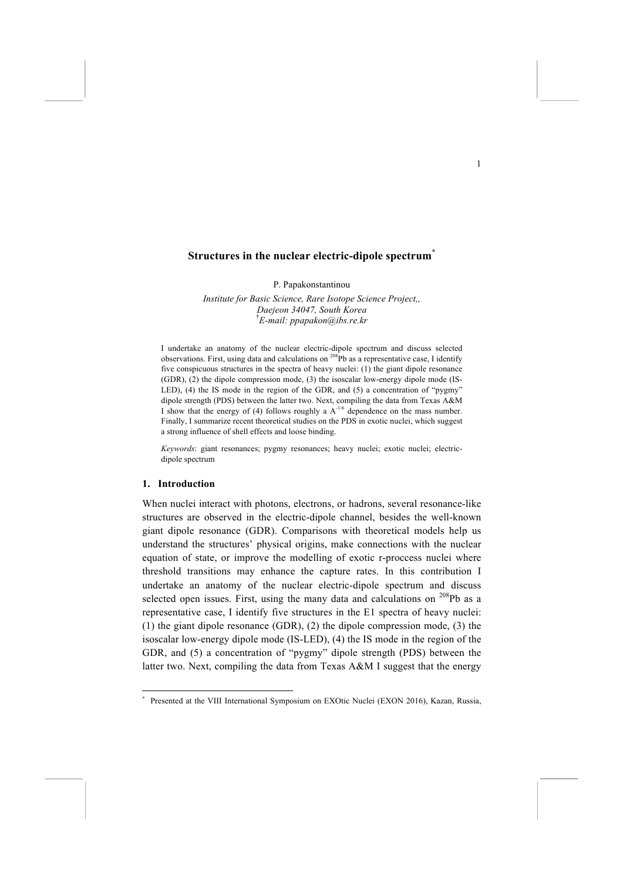# **Structures in the nuclear electric-dipole spectrum\***

P. Papakonstantinou

*Institute for Basic Science, Rare Isotope Science Project,, Daejeon 34047, South Korea* † *E-mail: ppapakon@ibs.re.kr*

I undertake an anatomy of the nuclear electric-dipole spectrum and discuss selected observations. First, using data and calculations on <sup>208</sup>Pb as a representative case, I identify five conspicuous structures in the spectra of heavy nuclei: (1) the giant dipole resonance (GDR), (2) the dipole compression mode, (3) the isoscalar low-energy dipole mode (IS-LED), (4) the IS mode in the region of the GDR, and (5) a concentration of "pygmy" dipole strength (PDS) between the latter two. Next, compiling the data from Texas A&M I show that the energy of (4) follows roughly a  $A^{-1/6}$  dependence on the mass number. Finally, I summarize recent theoretical studies on the PDS in exotic nuclei, which suggest a strong influence of shell effects and loose binding.

*Keywords*: giant resonances; pygmy resonances; heavy nuclei; exotic nuclei; electricdipole spectrum

#### **1. Introduction**

When nuclei interact with photons, electrons, or hadrons, several resonance-like structures are observed in the electric-dipole channel, besides the well-known giant dipole resonance (GDR). Comparisons with theoretical models help us understand the structures' physical origins, make connections with the nuclear equation of state, or improve the modelling of exotic r-proccess nuclei where threshold transitions may enhance the capture rates. In this contribution I undertake an anatomy of the nuclear electric-dipole spectrum and discuss selected open issues. First, using the many data and calculations on  $^{208}Pb$  as a representative case, I identify five structures in the E1 spectra of heavy nuclei: (1) the giant dipole resonance (GDR), (2) the dipole compression mode, (3) the isoscalar low-energy dipole mode (IS-LED), (4) the IS mode in the region of the GDR, and (5) a concentration of "pygmy" dipole strength (PDS) between the latter two. Next, compiling the data from Texas A&M I suggest that the energy

 <sup>\*</sup> Presented at the VIII International Symposium on EXOtic Nuclei (EXON 2016), Kazan, Russia,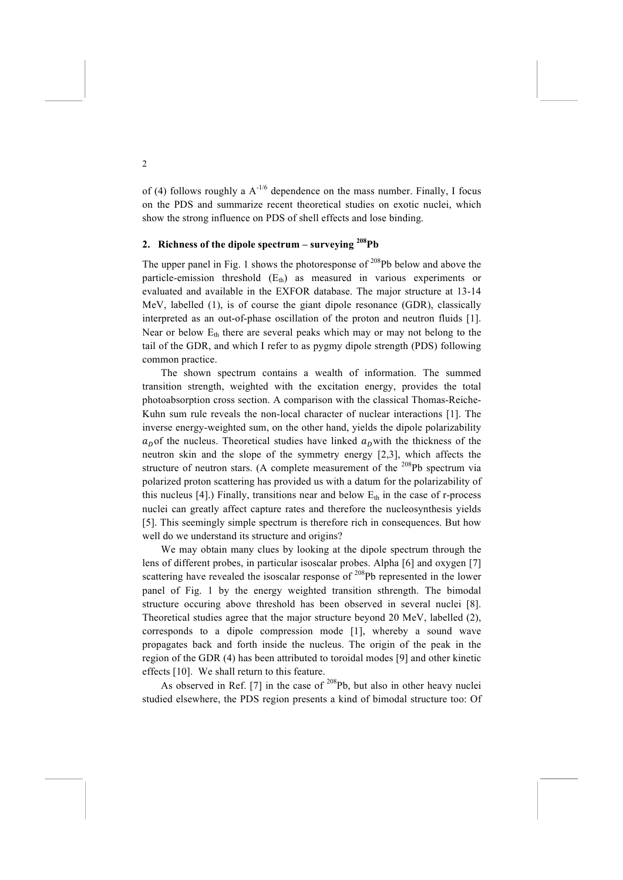of (4) follows roughly a  $A^{-1/6}$  dependence on the mass number. Finally, I focus on the PDS and summarize recent theoretical studies on exotic nuclei, which show the strong influence on PDS of shell effects and lose binding.

# **2. Richness of the dipole spectrum – surveying 208Pb**

The upper panel in Fig. 1 shows the photoresponse of  $208Pb$  below and above the particle-emission threshold  $(E<sub>th</sub>)$  as measured in various experiments or evaluated and available in the EXFOR database. The major structure at 13-14 MeV, labelled (1), is of course the giant dipole resonance (GDR), classically interpreted as an out-of-phase oscillation of the proton and neutron fluids [1]. Near or below  $E_{th}$  there are several peaks which may or may not belong to the tail of the GDR, and which I refer to as pygmy dipole strength (PDS) following common practice.

The shown spectrum contains a wealth of information. The summed transition strength, weighted with the excitation energy, provides the total photoabsorption cross section. A comparison with the classical Thomas-Reiche-Kuhn sum rule reveals the non-local character of nuclear interactions [1]. The inverse energy-weighted sum, on the other hand, yields the dipole polarizability  $a<sub>p</sub>$  of the nucleus. Theoretical studies have linked  $a<sub>p</sub>$  with the thickness of the neutron skin and the slope of the symmetry energy [2,3], which affects the structure of neutron stars. (A complete measurement of the  $^{208}Pb$  spectrum via polarized proton scattering has provided us with a datum for the polarizability of this nucleus [4].) Finally, transitions near and below  $E<sub>th</sub>$  in the case of r-process nuclei can greatly affect capture rates and therefore the nucleosynthesis yields [5]. This seemingly simple spectrum is therefore rich in consequences. But how well do we understand its structure and origins?

We may obtain many clues by looking at the dipole spectrum through the lens of different probes, in particular isoscalar probes. Alpha [6] and oxygen [7] scattering have revealed the isoscalar response of  $^{208}Pb$  represented in the lower panel of Fig. 1 by the energy weighted transition sthrength. The bimodal structure occuring above threshold has been observed in several nuclei [8]. Theoretical studies agree that the major structure beyond 20 MeV, labelled (2), corresponds to a dipole compression mode [1], whereby a sound wave propagates back and forth inside the nucleus. The origin of the peak in the region of the GDR (4) has been attributed to toroidal modes [9] and other kinetic effects [10]. We shall return to this feature.

As observed in Ref. [7] in the case of  $208Pb$ , but also in other heavy nuclei studied elsewhere, the PDS region presents a kind of bimodal structure too: Of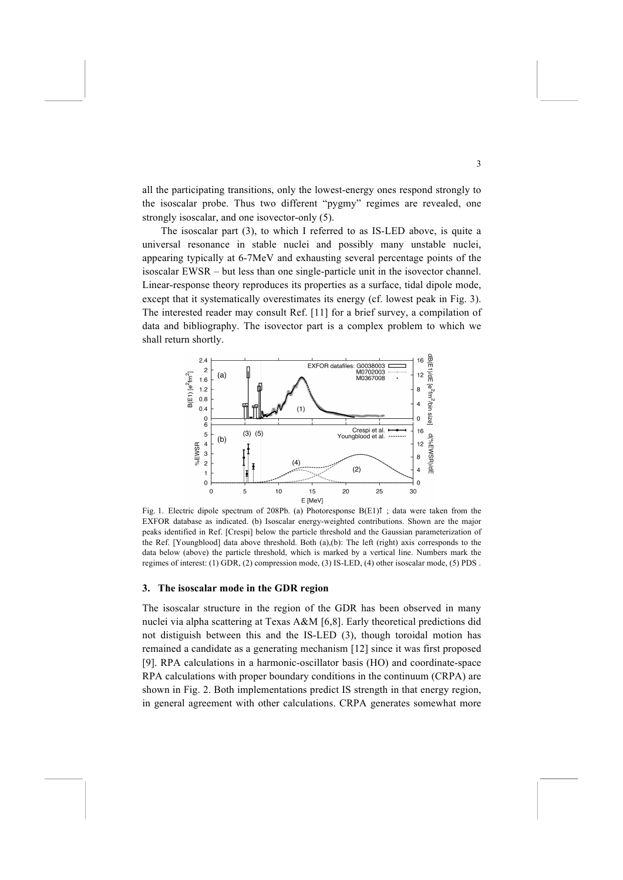all the participating transitions, only the lowest-energy ones respond strongly to the isoscalar probe. Thus two different "pygmy" regimes are revealed, one strongly isoscalar, and one isovector-only (5).

The isoscalar part (3), to which I referred to as IS-LED above, is quite a universal resonance in stable nuclei and possibly many unstable nuclei, appearing typically at 6-7MeV and exhausting several percentage points of the isoscalar EWSR – but less than one single-particle unit in the isovector channel. Linear-response theory reproduces its properties as a surface, tidal dipole mode, except that it systematically overestimates its energy (cf. lowest peak in Fig. 3). The interested reader may consult Ref. [11] for a brief survey, a compilation of data and bibliography. The isovector part is a complex problem to which we shall return shortly.



Fig. 1. Electric dipole spectrum of 208Pb. (a) Photoresponse B(E1)↑ ; data were taken from the EXFOR database as indicated. (b) Isoscalar energy-weighted contributions. Shown are the major peaks identified in Ref. [Crespi] below the particle threshold and the Gaussian parameterization of the Ref. [Youngblood] data above threshold. Both (a),(b): The left (right) axis corresponds to the data below (above) the particle threshold, which is marked by a vertical line. Numbers mark the regimes of interest: (1) GDR, (2) compression mode, (3) IS-LED, (4) other isoscalar mode, (5) PDS .

### **3. The isoscalar mode in the GDR region**

The isoscalar structure in the region of the GDR has been observed in many nuclei via alpha scattering at Texas A&M [6,8]. Early theoretical predictions did not distiguish between this and the IS-LED (3), though toroidal motion has remained a candidate as a generating mechanism [12] since it was first proposed [9]. RPA calculations in a harmonic-oscillator basis (HO) and coordinate-space RPA calculations with proper boundary conditions in the continuum (CRPA) are shown in Fig. 2. Both implementations predict IS strength in that energy region, in general agreement with other calculations. CRPA generates somewhat more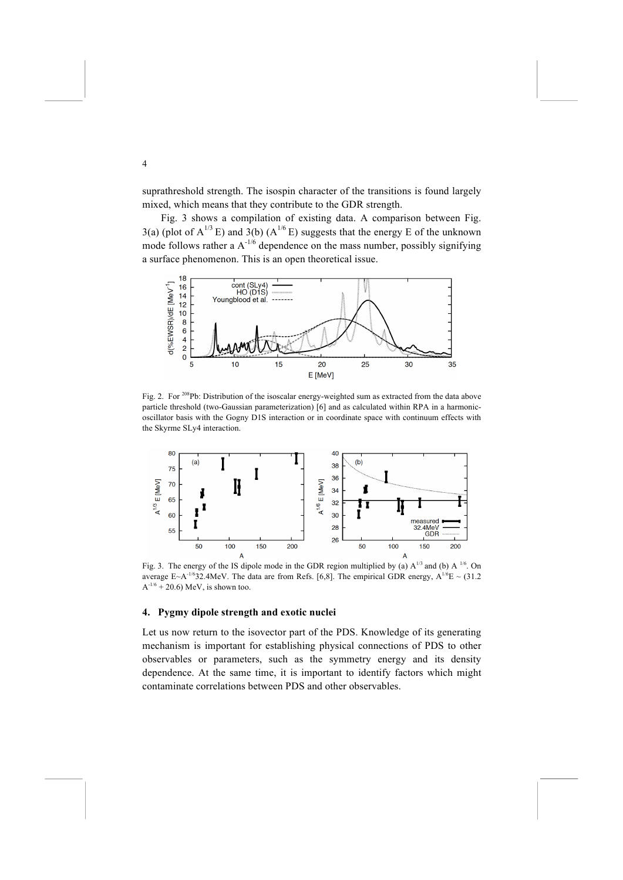suprathreshold strength. The isospin character of the transitions is found largely mixed, which means that they contribute to the GDR strength.

Fig. 3 shows a compilation of existing data. A comparison between Fig.  $3(a)$  (plot of A<sup>1/3</sup> E) and  $3(b)$  (A<sup>1/6</sup> E) suggests that the energy E of the unknown mode follows rather a  $A^{-1/6}$  dependence on the mass number, possibly signifying a surface phenomenon. This is an open theoretical issue.



Fig. 2. For <sup>208</sup>Pb: Distribution of the isoscalar energy-weighted sum as extracted from the data above particle threshold (two-Gaussian parameterization) [6] and as calculated within RPA in a harmonicoscillator basis with the Gogny D1S interaction or in coordinate space with continuum effects with the Skyrme SLy4 interaction.



Fig. 3. The energy of the IS dipole mode in the GDR region multiplied by (a)  $A^{1/3}$  and (b)  $A^{1/6}$ . On average E~A<sup>-1/6</sup>32.4MeV. The data are from Refs. [6,8]. The empirical GDR energy,  $A^{1/6}E \sim (31.2$  $A^{-1/6}$  + 20.6) MeV, is shown too.

#### **4. Pygmy dipole strength and exotic nuclei**

Let us now return to the isovector part of the PDS. Knowledge of its generating mechanism is important for establishing physical connections of PDS to other observables or parameters, such as the symmetry energy and its density dependence. At the same time, it is important to identify factors which might contaminate correlations between PDS and other observables.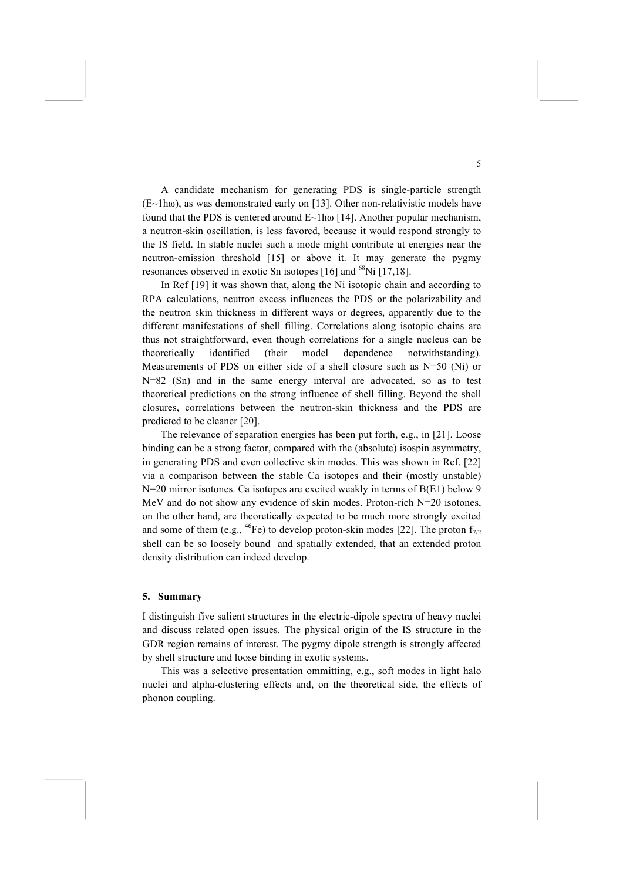A candidate mechanism for generating PDS is single-particle strength (E~1ħω), as was demonstrated early on [13]. Other non-relativistic models have found that the PDS is centered around E~1ħω [14]. Another popular mechanism, a neutron-skin oscillation, is less favored, because it would respond strongly to the IS field. In stable nuclei such a mode might contribute at energies near the neutron-emission threshold [15] or above it. It may generate the pygmy resonances observed in exotic Sn isotopes [16] and <sup>68</sup>Ni [17,18].

In Ref [19] it was shown that, along the Ni isotopic chain and according to RPA calculations, neutron excess influences the PDS or the polarizability and the neutron skin thickness in different ways or degrees, apparently due to the different manifestations of shell filling. Correlations along isotopic chains are thus not straightforward, even though correlations for a single nucleus can be theoretically identified (their model dependence notwithstanding). Measurements of PDS on either side of a shell closure such as  $N=50$  (Ni) or N=82 (Sn) and in the same energy interval are advocated, so as to test theoretical predictions on the strong influence of shell filling. Beyond the shell closures, correlations between the neutron-skin thickness and the PDS are predicted to be cleaner [20].

The relevance of separation energies has been put forth, e.g., in [21]. Loose binding can be a strong factor, compared with the (absolute) isospin asymmetry, in generating PDS and even collective skin modes. This was shown in Ref. [22] via a comparison between the stable Ca isotopes and their (mostly unstable) N=20 mirror isotones. Ca isotopes are excited weakly in terms of B(E1) below 9 MeV and do not show any evidence of skin modes. Proton-rich N=20 isotones, on the other hand, are theoretically expected to be much more strongly excited and some of them (e.g., <sup>46</sup>Fe) to develop proton-skin modes [22]. The proton  $f_{7/2}$ shell can be so loosely bound and spatially extended, that an extended proton density distribution can indeed develop.

#### **5. Summary**

I distinguish five salient structures in the electric-dipole spectra of heavy nuclei and discuss related open issues. The physical origin of the IS structure in the GDR region remains of interest. The pygmy dipole strength is strongly affected by shell structure and loose binding in exotic systems.

This was a selective presentation ommitting, e.g., soft modes in light halo nuclei and alpha-clustering effects and, on the theoretical side, the effects of phonon coupling.